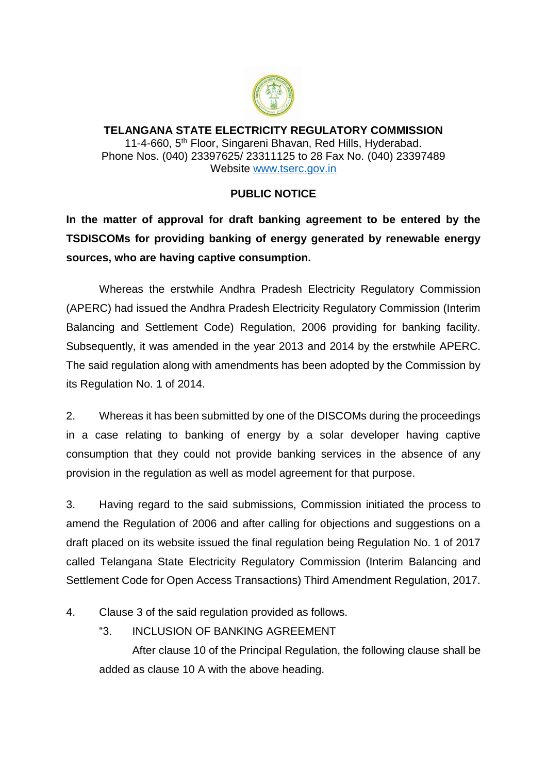

**TELANGANA STATE ELECTRICITY REGULATORY COMMISSION** 11-4-660, 5<sup>th</sup> Floor, Singareni Bhavan, Red Hills, Hyderabad. Phone Nos. (040) 23397625/ 23311125 to 28 Fax No. (040) 23397489 Website [www.tserc.gov.in](http://www.tserc.gov.in/)

## **PUBLIC NOTICE**

**In the matter of approval for draft banking agreement to be entered by the TSDISCOMs for providing banking of energy generated by renewable energy sources, who are having captive consumption.** 

Whereas the erstwhile Andhra Pradesh Electricity Regulatory Commission (APERC) had issued the Andhra Pradesh Electricity Regulatory Commission (Interim Balancing and Settlement Code) Regulation, 2006 providing for banking facility. Subsequently, it was amended in the year 2013 and 2014 by the erstwhile APERC. The said regulation along with amendments has been adopted by the Commission by its Regulation No. 1 of 2014.

2. Whereas it has been submitted by one of the DISCOMs during the proceedings in a case relating to banking of energy by a solar developer having captive consumption that they could not provide banking services in the absence of any provision in the regulation as well as model agreement for that purpose.

3. Having regard to the said submissions, Commission initiated the process to amend the Regulation of 2006 and after calling for objections and suggestions on a draft placed on its website issued the final regulation being Regulation No. 1 of 2017 called Telangana State Electricity Regulatory Commission (Interim Balancing and Settlement Code for Open Access Transactions) Third Amendment Regulation, 2017.

4. Clause 3 of the said regulation provided as follows.

"3. INCLUSION OF BANKING AGREEMENT

After clause 10 of the Principal Regulation, the following clause shall be added as clause 10 A with the above heading.